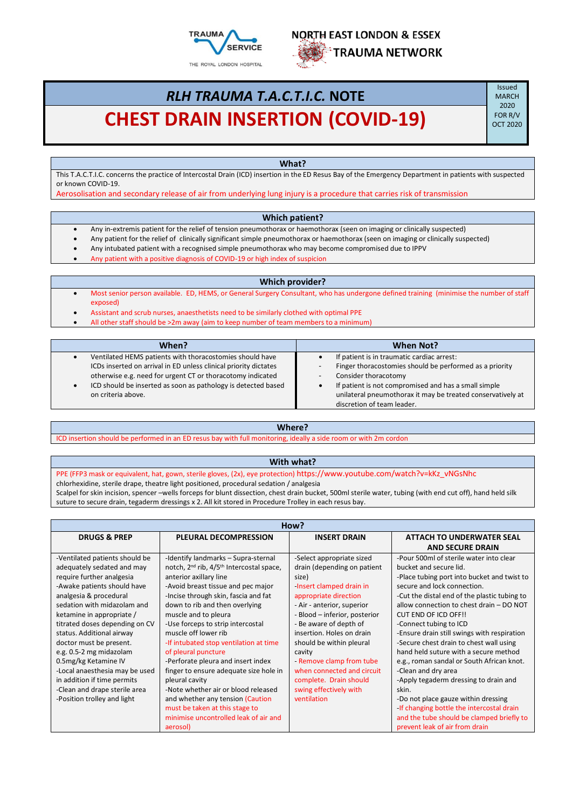



# *RLH TRAUMA T.A.C.T.I.C.* **NOTE CHEST DRAIN INSERTION (COVID-19)** OCT 2020

Issued MARCH 2020<br>FOR R/V

**What?**

This T.A.C.T.I.C. concerns the practice of Intercostal Drain (ICD) insertion in the ED Resus Bay of the Emergency Department in patients with suspected or known COVID-19.

Aerosolisation and secondary release of air from underlying lung injury is a procedure that carries risk of transmission

#### **Which patient?**

- Any in-extremis patient for the relief of tension pneumothorax or haemothorax (seen on imaging or clinically suspected)
- Any patient for the relief of clinically significant simple pneumothorax or haemothorax (seen on imaging or clinically suspected)
- Any intubated patient with a recognised simple pneumothorax who may become compromised due to IPPV
- Any patient with a positive diagnosis of COVID-19 or high index of suspicion

## **Which provider?**

- Most senior person available. ED, HEMS, or General Surgery Consultant, who has undergone defined training (minimise the number of staff exposed)
- Assistant and scrub nurses, anaesthetists need to be similarly clothed with optimal PPE
- All other staff should be >2m away (aim to keep number of team members to a minimum)

| When?                                                            | <b>When Not?</b>                                            |
|------------------------------------------------------------------|-------------------------------------------------------------|
| Ventilated HEMS patients with thoracostomies should have         | If patient is in traumatic cardiac arrest:                  |
| ICDs inserted on arrival in ED unless clinical priority dictates | Finger thoracostomies should be performed as a priority     |
| otherwise e.g. need for urgent CT or thoracotomy indicated       | Consider thoracotomy                                        |
| ICD should be inserted as soon as pathology is detected based    | If patient is not compromised and has a small simple        |
| on criteria above.                                               | unilateral pneumothorax it may be treated conservatively at |
|                                                                  | discretion of team leader.                                  |

#### **Where?**

ICD insertion should be performed in an ED resus bay with full monitoring, ideally a side room or with 2m cordon

## **With what?**

PPE (FFP3 mask or equivalent, hat, gown, sterile gloves, (2x), eye protection) https://www.youtube.com/watch?v=kKz\_vNGsNhc chlorhexidine, sterile drape, theatre light positioned, procedural sedation / analgesia

Scalpel for skin incision, spencer –wells forceps for blunt dissection, chest drain bucket, 500ml sterile water, tubing (with end cut off), hand held silk suture to secure drain, tegaderm dressings x 2. All kit stored in Procedure Trolley in each resus bay.

| How?                           |                                                                  |                               |                                              |
|--------------------------------|------------------------------------------------------------------|-------------------------------|----------------------------------------------|
| <b>DRUGS &amp; PREP</b>        | <b>PLEURAL DECOMPRESSION</b>                                     | <b>INSERT DRAIN</b>           | <b>ATTACH TO UNDERWATER SEAL</b>             |
|                                |                                                                  |                               | <b>AND SECURE DRAIN</b>                      |
| -Ventilated patients should be | -Identify landmarks - Supra-sternal                              | -Select appropriate sized     | -Pour 500ml of sterile water into clear      |
| adequately sedated and may     | notch, 2 <sup>nd</sup> rib, 4/5 <sup>th</sup> Intercostal space, | drain (depending on patient   | bucket and secure lid.                       |
| require further analgesia      | anterior axillary line                                           | size)                         | -Place tubing port into bucket and twist to  |
| -Awake patients should have    | -Avoid breast tissue and pec major                               | -Insert clamped drain in      | secure and lock connection.                  |
| analgesia & procedural         | -Incise through skin, fascia and fat                             | appropriate direction         | -Cut the distal end of the plastic tubing to |
| sedation with midazolam and    | down to rib and then overlying                                   | - Air - anterior, superior    | allow connection to chest drain - DO NOT     |
| ketamine in appropriate /      | muscle and to pleura                                             | - Blood - inferior, posterior | <b>CUT END OF ICD OFF!!</b>                  |
| titrated doses depending on CV | -Use forceps to strip intercostal                                | - Be aware of depth of        | -Connect tubing to ICD                       |
| status. Additional airway      | muscle off lower rib                                             | insertion. Holes on drain     | -Ensure drain still swings with respiration  |
| doctor must be present.        | -If intubated stop ventilation at time                           | should be within pleural      | -Secure chest drain to chest wall using      |
| e.g. 0.5-2 mg midazolam        | of pleural puncture                                              | cavity                        | hand held suture with a secure method        |
| 0.5mg/kg Ketamine IV           | -Perforate pleura and insert index                               | - Remove clamp from tube      | e.g., roman sandal or South African knot.    |
| -Local anaesthesia may be used | finger to ensure adequate size hole in                           | when connected and circuit    | -Clean and dry area                          |
| in addition if time permits    | pleural cavity                                                   | complete. Drain should        | -Apply tegaderm dressing to drain and        |
| -Clean and drape sterile area  | -Note whether air or blood released                              | swing effectively with        | skin.                                        |
| -Position trolley and light    | and whether any tension (Caution                                 | ventilation                   | -Do not place gauze within dressing          |
|                                | must be taken at this stage to                                   |                               | -If changing bottle the intercostal drain    |
|                                | minimise uncontrolled leak of air and                            |                               | and the tube should be clamped briefly to    |
|                                | aerosol)                                                         |                               | prevent leak of air from drain               |